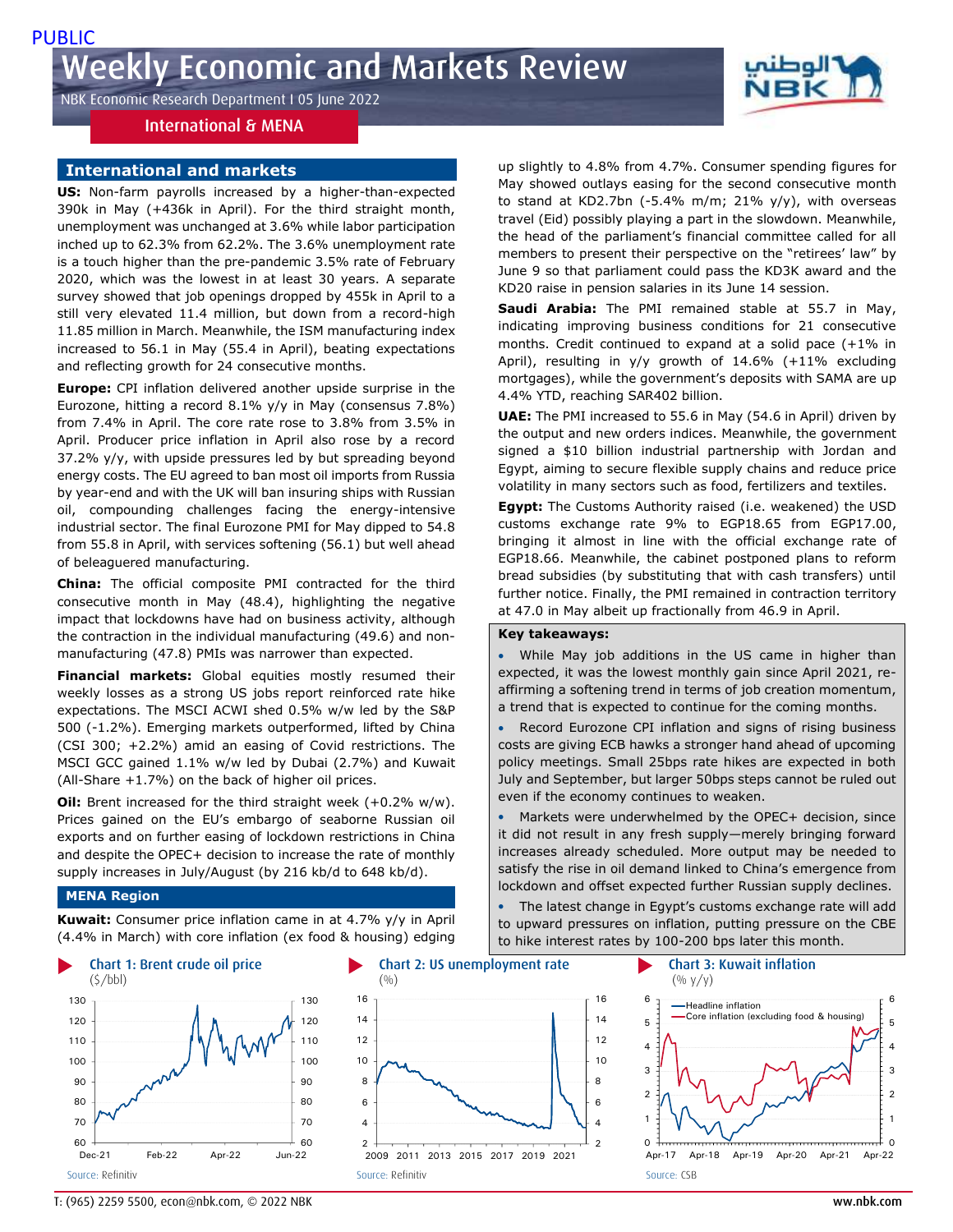NBK Economic Research Department I 05 June 2022

# International & MENA

# **International and markets**

**US:** Non-farm payrolls increased by a higher-than-expected 390k in May (+436k in April). For the third straight month, unemployment was unchanged at 3.6% while labor participation inched up to 62.3% from 62.2%. The 3.6% unemployment rate is a touch higher than the pre-pandemic 3.5% rate of February 2020, which was the lowest in at least 30 years. A separate survey showed that job openings dropped by 455k in April to a still very elevated 11.4 million, but down from a record-high 11.85 million in March. Meanwhile, the ISM manufacturing index increased to 56.1 in May (55.4 in April), beating expectations and reflecting growth for 24 consecutive months.

**Europe:** CPI inflation delivered another upside surprise in the Eurozone, hitting a record 8.1% y/y in May (consensus 7.8%) from 7.4% in April. The core rate rose to 3.8% from 3.5% in April. Producer price inflation in April also rose by a record 37.2% y/y, with upside pressures led by but spreading beyond energy costs. The EU agreed to ban most oil imports from Russia by year-end and with the UK will ban insuring ships with Russian oil, compounding challenges facing the energy-intensive industrial sector. The final Eurozone PMI for May dipped to 54.8 from 55.8 in April, with services softening (56.1) but well ahead of beleaguered manufacturing.

**China:** The official composite PMI contracted for the third consecutive month in May (48.4), highlighting the negative impact that lockdowns have had on business activity, although the contraction in the individual manufacturing (49.6) and nonmanufacturing (47.8) PMIs was narrower than expected.

**Financial markets:** Global equities mostly resumed their weekly losses as a strong US jobs report reinforced rate hike expectations. The MSCI ACWI shed 0.5% w/w led by the S&P 500 (-1.2%). Emerging markets outperformed, lifted by China (CSI 300; +2.2%) amid an easing of Covid restrictions. The MSCI GCC gained 1.1% w/w led by Dubai (2.7%) and Kuwait (All-Share +1.7%) on the back of higher oil prices.

**Oil:** Brent increased for the third straight week (+0.2% w/w). Prices gained on the EU's embargo of seaborne Russian oil exports and on further easing of lockdown restrictions in China and despite the OPEC+ decision to increase the rate of monthly supply increases in July/August (by 216 kb/d to 648 kb/d).

### **MENA Region**

**Kuwait:** Consumer price inflation came in at 4.7% y/y in April (4.4% in March) with core inflation (ex food & housing) edging





up slightly to 4.8% from 4.7%. Consumer spending figures for May showed outlays easing for the second consecutive month to stand at KD2.7bn (-5.4% m/m; 21%  $y/y$ ), with overseas travel (Eid) possibly playing a part in the slowdown. Meanwhile, the head of the parliament's financial committee called for all members to present their perspective on the "retirees' law" by June 9 so that parliament could pass the KD3K award and the KD20 raise in pension salaries in its June 14 session.

**Saudi Arabia:** The PMI remained stable at 55.7 in May, indicating improving business conditions for 21 consecutive months. Credit continued to expand at a solid pace (+1% in April), resulting in y/y growth of 14.6% (+11% excluding mortgages), while the government's deposits with SAMA are up 4.4% YTD, reaching SAR402 billion.

**UAE:** The PMI increased to 55.6 in May (54.6 in April) driven by the output and new orders indices. Meanwhile, the government signed a \$10 billion industrial partnership with Jordan and Egypt, aiming to secure flexible supply chains and reduce price volatility in many sectors such as food, fertilizers and textiles.

**Egypt:** The Customs Authority raised (i.e. weakened) the USD customs exchange rate 9% to EGP18.65 from EGP17.00, bringing it almost in line with the official exchange rate of EGP18.66. Meanwhile, the cabinet postponed plans to reform bread subsidies (by substituting that with cash transfers) until further notice. Finally, the PMI remained in contraction territory at 47.0 in May albeit up fractionally from 46.9 in April.

## **Key takeaways:**

 While May job additions in the US came in higher than expected, it was the lowest monthly gain since April 2021, reaffirming a softening trend in terms of job creation momentum, a trend that is expected to continue for the coming months.

 Record Eurozone CPI inflation and signs of rising business costs are giving ECB hawks a stronger hand ahead of upcoming policy meetings. Small 25bps rate hikes are expected in both July and September, but larger 50bps steps cannot be ruled out even if the economy continues to weaken.

 Markets were underwhelmed by the OPEC+ decision, since it did not result in any fresh supply—merely bringing forward increases already scheduled. More output may be needed to satisfy the rise in oil demand linked to China's emergence from lockdown and offset expected further Russian supply declines.

 The latest change in Egypt's customs exchange rate will add to upward pressures on inflation, putting pressure on the CBE to hike interest rates by 100-200 bps later this month.



T: (965) 2259 5500, econ@nbk.com, © 2022 NBK ww.nbk.com